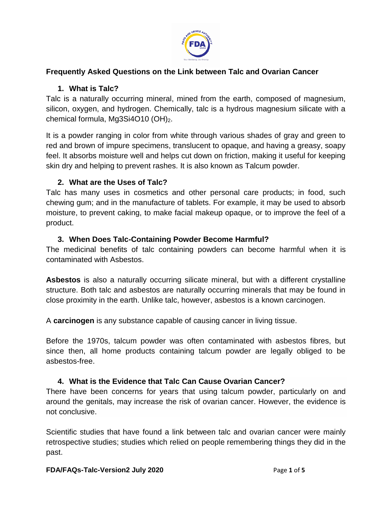

## **Frequently Asked Questions on the Link between Talc and Ovarian Cancer**

## **1. What is Talc?**

Talc is a naturally occurring mineral, mined from the earth, composed of magnesium, silicon, oxygen, and hydrogen. Chemically, talc is a hydrous magnesium silicate with a chemical formula, Mg3Si4O10 (OH)<sub>2</sub>.

It is a powder ranging in color from white through various shades of gray and green to red and brown of impure specimens, translucent to opaque, and having a greasy, soapy feel. It absorbs moisture well and helps cut down on friction, making it useful for keeping skin dry and helping to prevent rashes. It is also known as Talcum powder.

## **2. What are the Uses of Talc?**

Talc has many uses in cosmetics and other personal care products; in food, such chewing gum; and in the manufacture of tablets. For example, it may be used to absorb moisture, to prevent caking, to make facial makeup opaque, or to improve the feel of a product.

## **3. When Does Talc-Containing Powder Become Harmful?**

The medicinal benefits of talc containing powders can become harmful when it is contaminated with Asbestos.

**Asbestos** is also a naturally occurring silicate mineral, but with a different crystalline structure. Both talc and asbestos are naturally occurring minerals that may be found in close proximity in the earth. Unlike talc, however, asbestos is a known carcinogen.

A **carcinogen** is any substance capable of causing cancer in living tissue.

Before the 1970s, talcum powder was often contaminated with asbestos fibres, but since then, all home products containing talcum powder are legally obliged to be asbestos-free.

## **4. What is the Evidence that Talc Can Cause Ovarian Cancer?**

There have been concerns for years that using talcum powder, particularly on and around the genitals, may increase the risk of ovarian cancer. However, the evidence is not conclusive.

Scientific studies that have found a link between talc and ovarian cancer were mainly retrospective studies; studies which relied on people remembering things they did in the past.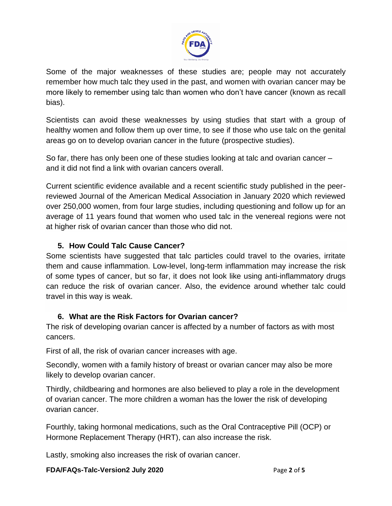

Some of the major weaknesses of these studies are; people may not accurately remember how much talc they used in the past, and women with ovarian cancer may be more likely to remember using talc than women who don't have cancer (known as recall bias).

Scientists can avoid these weaknesses by using studies that start with a group of healthy women and follow them up over time, to see if those who use talc on the genital areas go on to develop ovarian cancer in the future (prospective studies).

So far, there has only been one of these studies looking at talc and ovarian cancer – and it did not find a link with ovarian cancers overall.

Current scientific evidence available and a recent scientific study published in the peerreviewed Journal of the American Medical Association in January 2020 which reviewed over 250,000 women, from four large studies, including questioning and follow up for an average of 11 years found that women who used talc in the venereal regions were not at higher risk of ovarian cancer than those who did not.

# **5. How Could Talc Cause Cancer?**

Some scientists have suggested that talc particles could travel to the ovaries, irritate them and cause inflammation. Low-level, long-term inflammation may increase the risk of some types of cancer, but so far, it does not look like using anti-inflammatory drugs can reduce the risk of ovarian cancer. Also, the evidence around whether talc could travel in this way is weak.

# **6. What are the Risk Factors for Ovarian cancer?**

The risk of developing ovarian cancer is affected by a number of factors as with most cancers.

First of all, the risk of ovarian cancer increases with age.

Secondly, women with a family history of breast or ovarian cancer may also be more likely to develop ovarian cancer.

Thirdly, childbearing and hormones are also believed to play a role in the development of ovarian cancer. The more children a woman has the lower the risk of developing ovarian cancer.

Fourthly, taking hormonal medications, such as the Oral Contraceptive Pill (OCP) or Hormone Replacement Therapy (HRT), can also increase the risk.

Lastly, smoking also increases the risk of ovarian cancer.

**FDA/FAQs-Talc-Version2 July 2020** Page **2** of **5**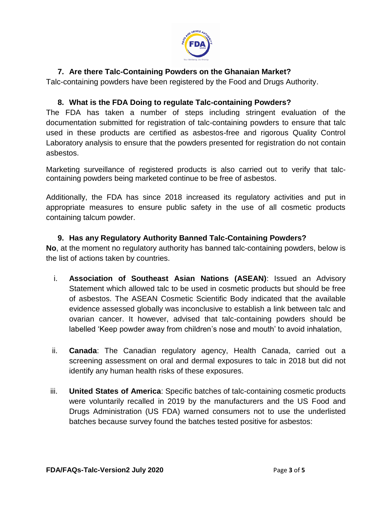

# **7. Are there Talc-Containing Powders on the Ghanaian Market?**

Talc-containing powders have been registered by the Food and Drugs Authority.

## **8. What is the FDA Doing to regulate Talc-containing Powders?**

The FDA has taken a number of steps including stringent evaluation of the documentation submitted for registration of talc-containing powders to ensure that talc used in these products are certified as asbestos-free and rigorous Quality Control Laboratory analysis to ensure that the powders presented for registration do not contain asbestos.

Marketing surveillance of registered products is also carried out to verify that talccontaining powders being marketed continue to be free of asbestos.

Additionally, the FDA has since 2018 increased its regulatory activities and put in appropriate measures to ensure public safety in the use of all cosmetic products containing talcum powder.

#### **9. Has any Regulatory Authority Banned Talc-Containing Powders?**

**No**, at the moment no regulatory authority has banned talc-containing powders, below is the list of actions taken by countries.

- i. **Association of Southeast Asian Nations (ASEAN)**: Issued an Advisory Statement which allowed talc to be used in cosmetic products but should be free of asbestos. The ASEAN Cosmetic Scientific Body indicated that the available evidence assessed globally was inconclusive to establish a link between talc and ovarian cancer. It however, advised that talc-containing powders should be labelled 'Keep powder away from children's nose and mouth' to avoid inhalation,
- ii. **Canada**: The Canadian regulatory agency, Health Canada, carried out a screening assessment on oral and dermal exposures to talc in 2018 but did not identify any human health risks of these exposures.
- iii. **United States of America**: Specific batches of talc-containing cosmetic products were voluntarily recalled in 2019 by the manufacturers and the US Food and Drugs Administration (US FDA) warned consumers not to use the underlisted batches because survey found the batches tested positive for asbestos: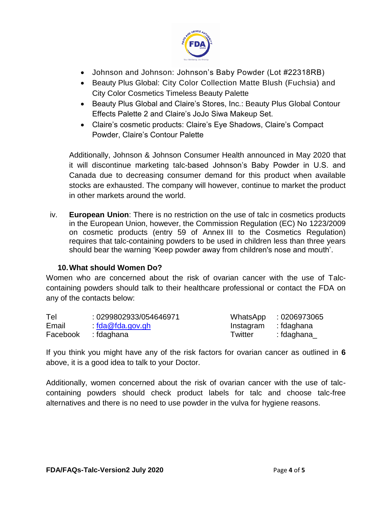

- Johnson and Johnson: Johnson's Baby Powder (Lot #22318RB)
- Beauty Plus Global: City Color Collection Matte Blush (Fuchsia) and City Color Cosmetics Timeless Beauty Palette
- Beauty Plus Global and Claire's Stores, Inc.: Beauty Plus Global Contour Effects Palette 2 and Claire's JoJo Siwa Makeup Set.
- Claire's cosmetic products: Claire's Eye Shadows, Claire's Compact Powder, Claire's Contour Palette

Additionally, Johnson & Johnson Consumer Health announced in May 2020 that it will discontinue marketing talc-based Johnson's Baby Powder in U.S. and Canada due to decreasing consumer demand for this product when available stocks are exhausted. The company will however, continue to market the product in other markets around the world.

iv. **European Union**: There is no restriction on the use of talc in cosmetics products in the European Union, however, the Commission Regulation (EC) No 1223/2009 on cosmetic products (entry 59 of Annex III to the Cosmetics Regulation) requires that talc-containing powders to be used in children less than three years should bear the warning 'Keep powder away from children's nose and mouth'.

## **10.What should Women Do?**

Women who are concerned about the risk of ovarian cancer with the use of Talccontaining powders should talk to their healthcare professional or contact the FDA on any of the contacts below:

| Tel      | : 0299802933/054646971 |           | WhatsApp : 0206973065 |
|----------|------------------------|-----------|-----------------------|
| Email    | fda@fda.gov.gh         | Instagram | : fdaghana            |
| Facebook | : fdaghana             | Twitter   | : fdaghana            |

If you think you might have any of the risk factors for ovarian cancer as outlined in **6**  above, it is a good idea to talk to your Doctor.

Additionally, women concerned about the risk of ovarian cancer with the use of talccontaining powders should check product labels for talc and choose talc-free alternatives and there is no need to use powder in the vulva for hygiene reasons.